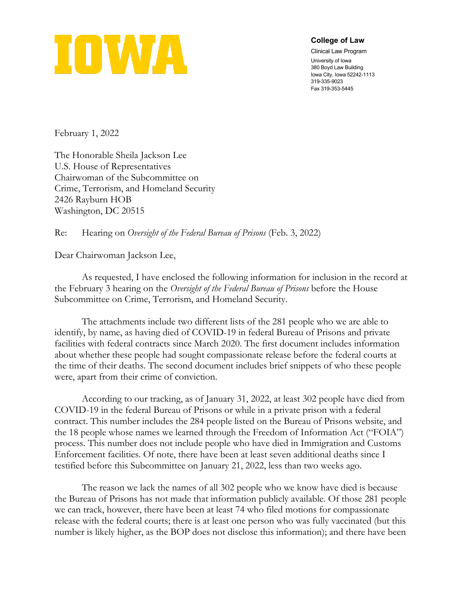

**College of Law**

Clinical Law Program University of Iowa 380 Boyd Law Building Iowa City, Iowa 52242-1113 319-335-9023 Fax 319-353-5445

February 1, 2022

The Honorable Sheila Jackson Lee U.S. House of Representatives Chairwoman of the Subcommittee on Crime, Terrorism, and Homeland Security 2426 Rayburn HOB Washington, DC 20515

Re: Hearing on *Oversight of the Federal Bureau of Prisons* (Feb. 3, 2022)

Dear Chairwoman Jackson Lee,

As requested, I have enclosed the following information for inclusion in the record at the February 3 hearing on the *Oversight of the Federal Bureau of Prisons* before the House Subcommittee on Crime, Terrorism, and Homeland Security.

The attachments include two different lists of the 281 people who we are able to identify, by name, as having died of COVID-19 in federal Bureau of Prisons and private facilities with federal contracts since March 2020. The first document includes information about whether these people had sought compassionate release before the federal courts at the time of their deaths. The second document includes brief snippets of who these people were, apart from their crime of conviction.

According to our tracking, as of January 31, 2022, at least 302 people have died from COVID-19 in the federal Bureau of Prisons or while in a private prison with a federal contract. This number includes the 284 people listed on the Bureau of Prisons website, and the 18 people whose names we learned through the Freedom of Information Act ("FOIA") process. This number does not include people who have died in Immigration and Customs Enforcement facilities. Of note, there have been at least seven additional deaths since I testified before this Subcommittee on January 21, 2022, less than two weeks ago.

The reason we lack the names of all 302 people who we know have died is because the Bureau of Prisons has not made that information publicly available. Of those 281 people we can track, however, there have been at least 74 who filed motions for compassionate release with the federal courts; there is at least one person who was fully vaccinated (but this number is likely higher, as the BOP does not disclose this information); and there have been